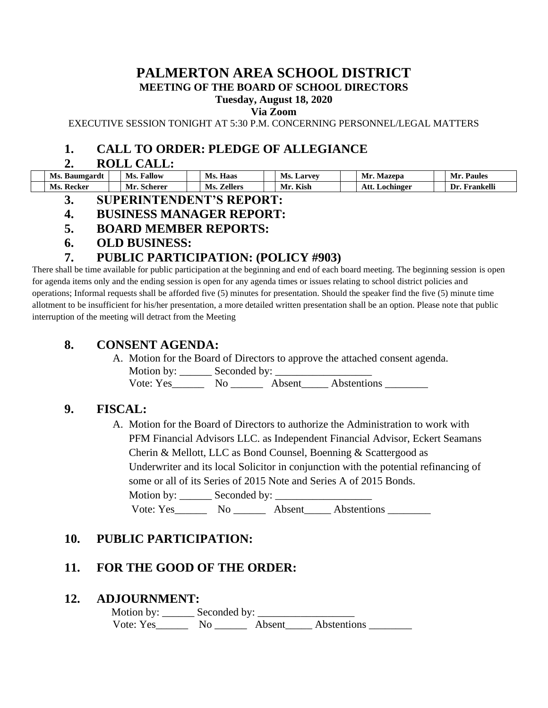#### **PALMERTON AREA SCHOOL DISTRICT MEETING OF THE BOARD OF SCHOOL DIRECTORS**

## **Tuesday, August 18, 2020**

**Via Zoom**

EXECUTIVE SESSION TONIGHT AT 5:30 P.M. CONCERNING PERSONNEL/LEGAL MATTERS

## **1. CALL TO ORDER: PLEDGE OF ALLEGIANCE**

#### **2. ROLL CALL:**

| Ms. Baumgardt   | Fallow<br>Ms.    | Ms.<br><b>Haas</b> | Ms.<br>. Larvev | Mr.<br>Mazepa     | <b>Paules</b><br>Mr |
|-----------------|------------------|--------------------|-----------------|-------------------|---------------------|
| . Recker<br>Ms. | Mr.<br>. Scherer | Ms.<br>Zellers     | Kish<br>Mr.     | Att.<br>Lochinger | Frankelli<br>Dr     |

**3. SUPERINTENDENT'S REPORT:**

### **4. BUSINESS MANAGER REPORT:**

- **5. BOARD MEMBER REPORTS:**
- **6. OLD BUSINESS:**

# **7. PUBLIC PARTICIPATION: (POLICY #903)**

There shall be time available for public participation at the beginning and end of each board meeting. The beginning session is open for agenda items only and the ending session is open for any agenda times or issues relating to school district policies and operations; Informal requests shall be afforded five (5) minutes for presentation. Should the speaker find the five (5) minute time allotment to be insufficient for his/her presentation, a more detailed written presentation shall be an option. Please note that public interruption of the meeting will detract from the Meeting

### **8. CONSENT AGENDA:**

A. Motion for the Board of Directors to approve the attached consent agenda. Motion by: Seconded by:

Vote: Yes\_\_\_\_\_\_\_\_\_ No \_\_\_\_\_\_\_\_\_\_\_ Absent\_\_\_\_\_\_\_ Abstentions \_

# **9. FISCAL:**

A. Motion for the Board of Directors to authorize the Administration to work with PFM Financial Advisors LLC. as Independent Financial Advisor, Eckert Seamans Cherin & Mellott, LLC as Bond Counsel, Boenning & Scattergood as Underwriter and its local Solicitor in conjunction with the potential refinancing of some or all of its Series of 2015 Note and Series A of 2015 Bonds. Motion by: \_\_\_\_\_\_ Seconded by: \_\_\_\_\_\_\_\_\_\_\_\_\_\_\_\_\_\_

Vote: Yes\_\_\_\_\_\_\_\_ No \_\_\_\_\_\_\_\_ Absent\_\_\_\_\_\_ Abstentions \_\_\_\_\_\_\_\_\_

# **10. PUBLIC PARTICIPATION:**

# **11. FOR THE GOOD OF THE ORDER:**

### **12. ADJOURNMENT:**

 Motion by: \_\_\_\_\_\_ Seconded by: \_\_\_\_\_\_\_\_\_\_\_\_\_\_\_\_\_\_ Vote: Yes\_\_\_\_\_\_\_\_ No \_\_\_\_\_\_\_ Absent\_\_\_\_\_ Abstentions \_\_\_\_\_\_\_\_\_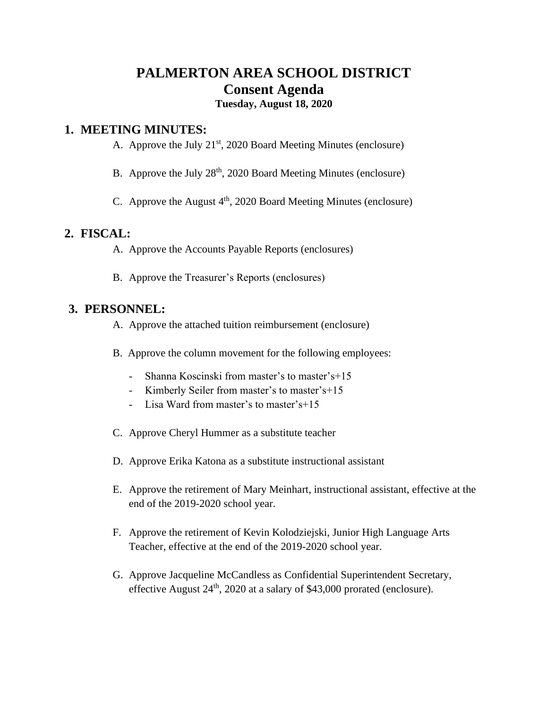# **PALMERTON AREA SCHOOL DISTRICT Consent Agenda**

### **Tuesday, August 18, 2020**

#### **1. MEETING MINUTES:**

- A. Approve the July  $21<sup>st</sup>$ , 2020 Board Meeting Minutes (enclosure)
- B. Approve the July 28<sup>th</sup>, 2020 Board Meeting Minutes (enclosure)
- C. Approve the August  $4<sup>th</sup>$ , 2020 Board Meeting Minutes (enclosure)

### **2. FISCAL:**

- A. Approve the Accounts Payable Reports (enclosures)
- B. Approve the Treasurer's Reports (enclosures)

### **3. PERSONNEL:**

- A. Approve the attached tuition reimbursement (enclosure)
- B. Approve the column movement for the following employees:
	- Shanna Koscinski from master's to master's+15
	- Kimberly Seiler from master's to master's+15
	- Lisa Ward from master's to master's+15
- C. Approve Cheryl Hummer as a substitute teacher
- D. Approve Erika Katona as a substitute instructional assistant
- E. Approve the retirement of Mary Meinhart, instructional assistant, effective at the end of the 2019-2020 school year.
- F. Approve the retirement of Kevin Kolodziejski, Junior High Language Arts Teacher, effective at the end of the 2019-2020 school year.
- G. Approve Jacqueline McCandless as Confidential Superintendent Secretary, effective August  $24<sup>th</sup>$ , 2020 at a salary of \$43,000 prorated (enclosure).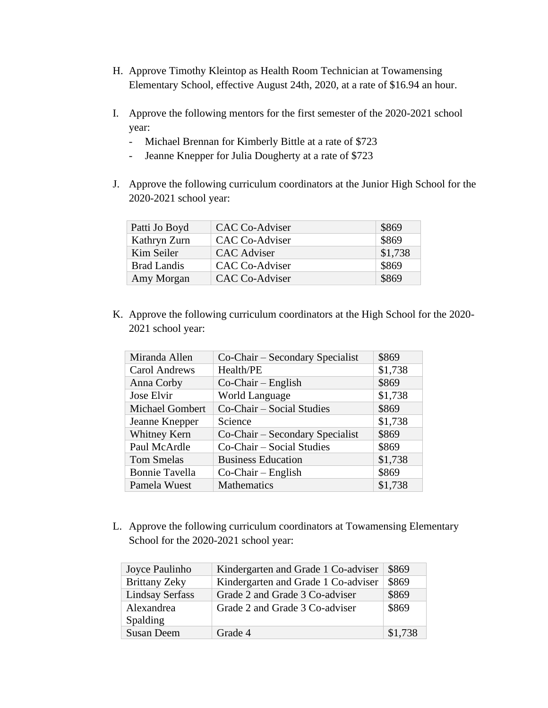- H. Approve Timothy Kleintop as Health Room Technician at Towamensing Elementary School, effective August 24th, 2020, at a rate of \$16.94 an hour.
- I. Approve the following mentors for the first semester of the 2020-2021 school year:
	- Michael Brennan for Kimberly Bittle at a rate of \$723
	- Jeanne Knepper for Julia Dougherty at a rate of \$723
- J. Approve the following curriculum coordinators at the Junior High School for the 2020-2021 school year:

| Patti Jo Boyd      | CAC Co-Adviser        | \$869   |
|--------------------|-----------------------|---------|
| Kathryn Zurn       | CAC Co-Adviser        | \$869   |
| Kim Seiler         | CAC Adviser           | \$1,738 |
| <b>Brad Landis</b> | <b>CAC Co-Adviser</b> | \$869   |
| Amy Morgan         | CAC Co-Adviser        | \$869   |

K. Approve the following curriculum coordinators at the High School for the 2020- 2021 school year:

| Miranda Allen          | Co-Chair – Secondary Specialist | \$869   |
|------------------------|---------------------------------|---------|
| Carol Andrews          | Health/PE                       | \$1,738 |
| Anna Corby             | $Co-Chair - English$            | \$869   |
| Jose Elvir             | <b>World Language</b>           | \$1,738 |
| <b>Michael Gombert</b> | Co-Chair – Social Studies       | \$869   |
| Jeanne Knepper         | Science                         | \$1,738 |
| Whitney Kern           | Co-Chair – Secondary Specialist | \$869   |
| Paul McArdle           | Co-Chair – Social Studies       | \$869   |
| <b>Tom Smelas</b>      | <b>Business Education</b>       | \$1,738 |
| <b>Bonnie Tavella</b>  | $Co-Chair - English$            | \$869   |
| Pamela Wuest           | <b>Mathematics</b>              | \$1,738 |

L. Approve the following curriculum coordinators at Towamensing Elementary School for the 2020-2021 school year:

| Joyce Paulinho         | Kindergarten and Grade 1 Co-adviser | \$869   |
|------------------------|-------------------------------------|---------|
| <b>Brittany Zeky</b>   | Kindergarten and Grade 1 Co-adviser | \$869   |
| <b>Lindsay Serfass</b> | Grade 2 and Grade 3 Co-adviser      | \$869   |
| Alexandrea             | Grade 2 and Grade 3 Co-adviser      | \$869   |
| <b>Spalding</b>        |                                     |         |
| <b>Susan Deem</b>      | Grade 4                             | \$1,738 |